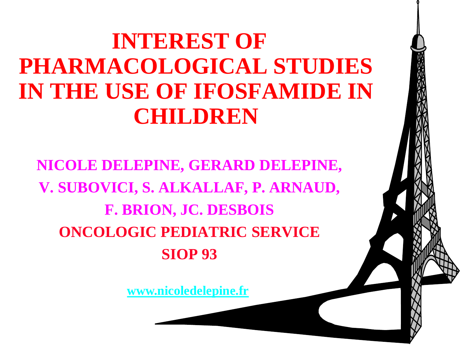#### **INTEREST OF PHARMACOLOGICAL STUDIES IN THE USE OF IFOSFAMIDE IN CHILDREN**

**NICOLE DELEPINE, GERARD DELEPINE, V. SUBOVICI, S. ALKALLAF, P. ARNAUD, F. BRION, JC. DESBOIS ONCOLOGIC PEDIATRIC SERVICE SIOP 93**

**[www.nicoledelepine.fr](http://www.nicoledelepine.fr/)**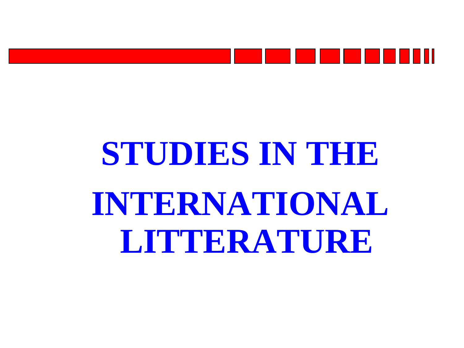

### **STUDIES IN THE INTERNATIONAL LITTERATURE**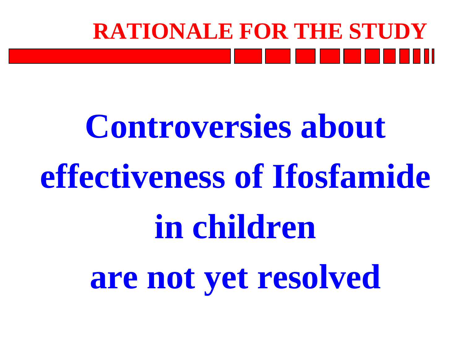

### **Controversies about effectiveness of Ifosfamide in children are not yet resolved**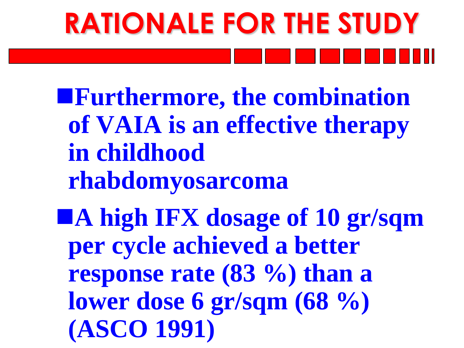# **RATIONALE FOR THE STUDY**

**Furthermore, the combination of VAIA is an effective therapy in childhood rhabdomyosarcoma**

**A high IFX dosage of 10 gr/sqm per cycle achieved a better response rate (83 %) than a lower dose 6 gr/sqm (68 %) (ASCO 1991)**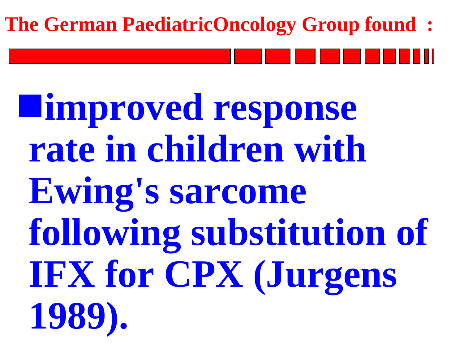#### **The German PaediatricOncology Group found :**

**improved response rate in children with Ewing's sarcome following substitution of IFX for CPX (Jurgens 1989).**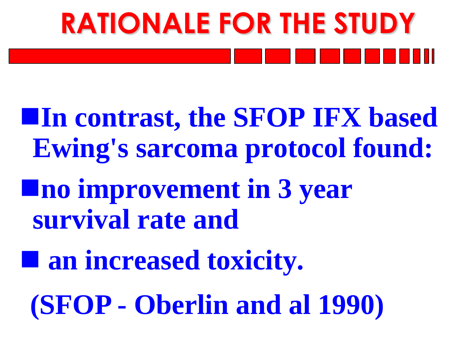# **RATIONALE FOR THE STUDY**

**In contrast, the SFOP IFX based Ewing's sarcoma protocol found: no improvement in 3 year survival rate and**

 **an increased toxicity. (SFOP - Oberlin and al 1990)**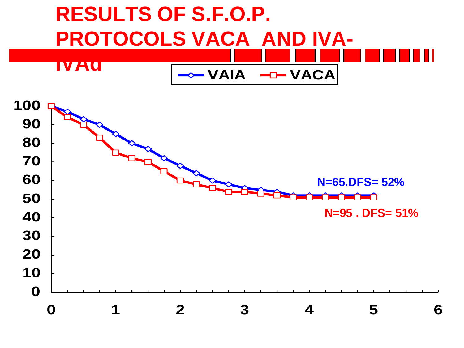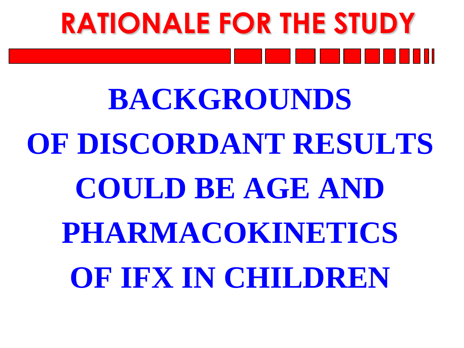## **RATIONALE FOR THE STUDY**

### **BACKGROUNDS OF DISCORDANT RESULTS COULD BE AGE AND PHARMACOKINETICS OF IFX IN CHILDREN**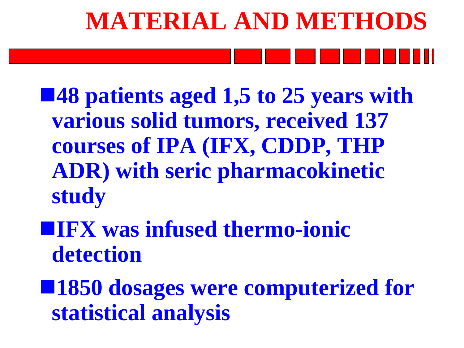## **MATERIAL AND METHODS**

■48 patients aged 1,5 to 25 years with **various solid tumors, received 137 courses of IPA (IFX, CDDP, THP ADR) with seric pharmacokinetic study**

**IFX was infused thermo-ionic detection**

■1850 dosages were computerized for **statistical analysis**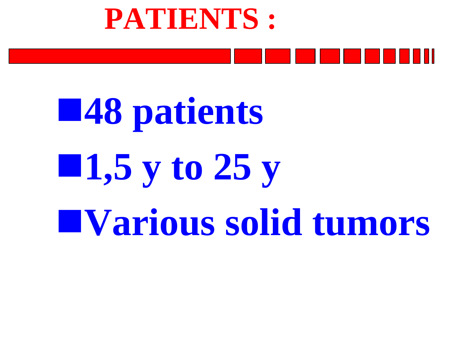

### **48 patients 1,5 y to 25 y Various solid tumors**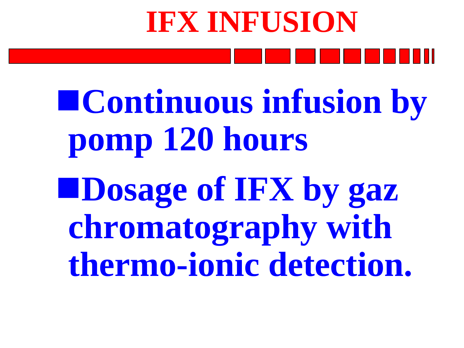# **IFX INFUSION**

**Continuous infusion by pomp 120 hours Dosage of IFX by gaz chromatography with thermo-ionic detection.**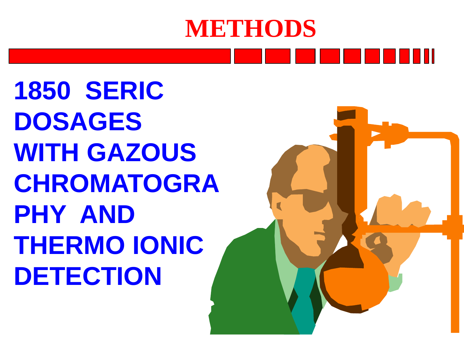### **METHODS**

**1850 SERIC DOSAGES WITH GAZOUS CHROMATOGRA PHY AND THERMO IONIC DETECTION** 

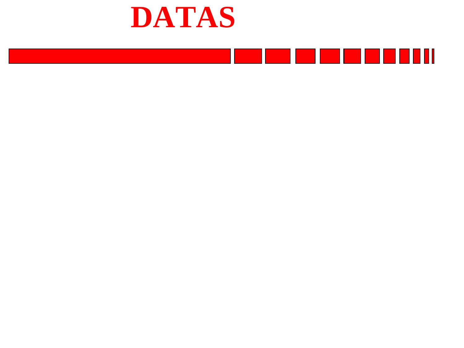

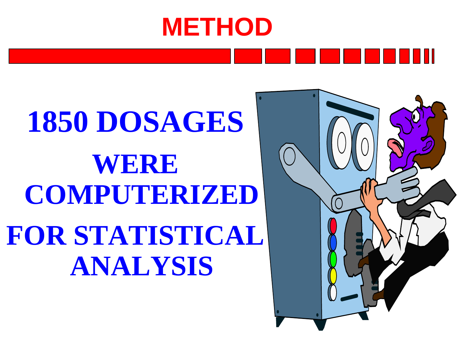### **METHOD**

### **1850 DOSAGES WERE COMPUTERIZED FOR STATISTICAL ANALYSIS**

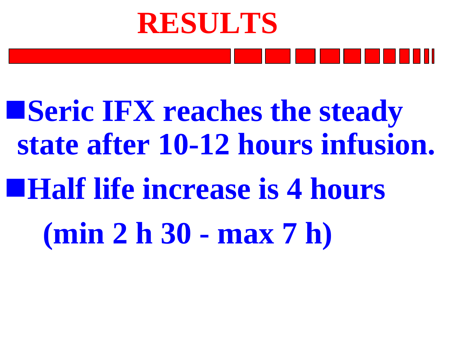## **RESULTS**

**Example 18 IFX reaches the steady state after 10-12 hours infusion. Half life increase is 4 hours (min 2 h 30 - max 7 h)**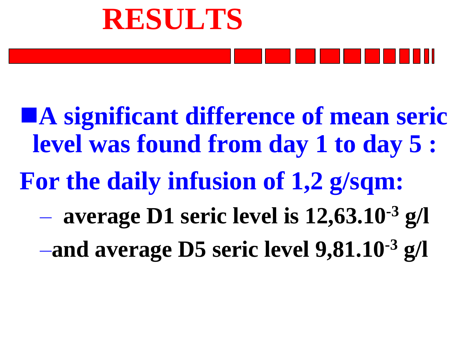



**A significant difference of mean seric level was found from day 1 to day 5 : For the daily infusion of 1,2 g/sqm:** – **average D1 seric level is 12,63.10-3 g/l** –**and average D5 seric level 9,81.10-3 g/l**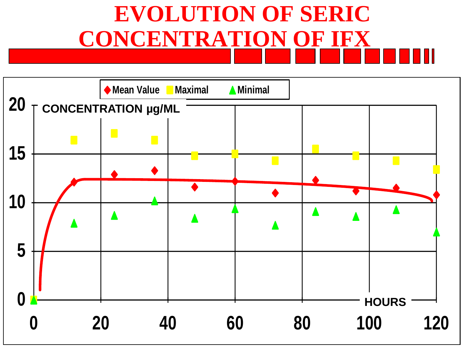### **EVOLUTION OF SERIC CONCENTRATION OF IFX**

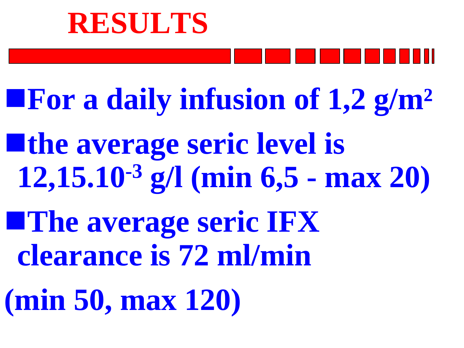#### **RESULTS**

**For a daily infusion of 1,2 g/m²** 

**the average seric level is 12,15.10-3 g/l (min 6,5 - max 20) The average seric IFX clearance is 72 ml/min (min 50, max 120)**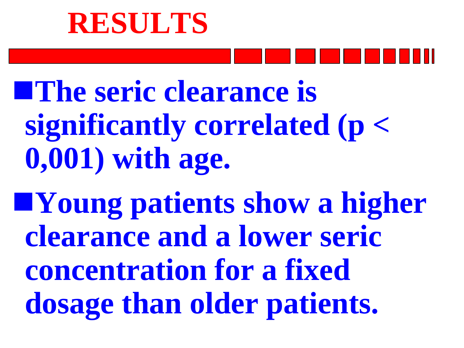### **RESULTS**



**The seric clearance is significantly correlated (p < 0,001) with age.** 

**Young patients show a higher clearance and a lower seric concentration for a fixed dosage than older patients.**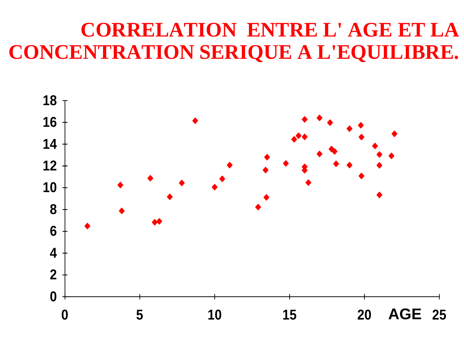#### **CORRELATION ENTRE L' AGE ET LA CONCENTRATION SERIQUE A L'EQUILIBRE.**

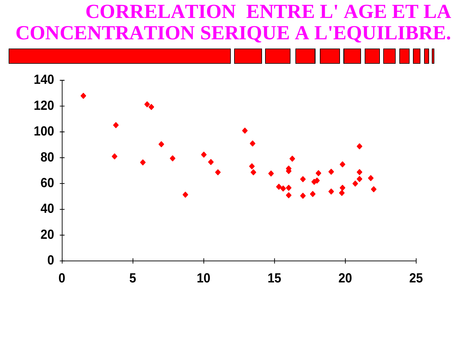#### **CORRELATION ENTRE L' AGE ET LA CONCENTRATION SERIQUE A L'EQUILIBRE.**

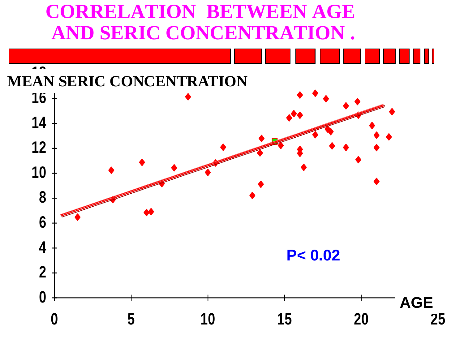#### **CORRELATION BETWEEN AGE AND SERIC CONCENTRATION .**

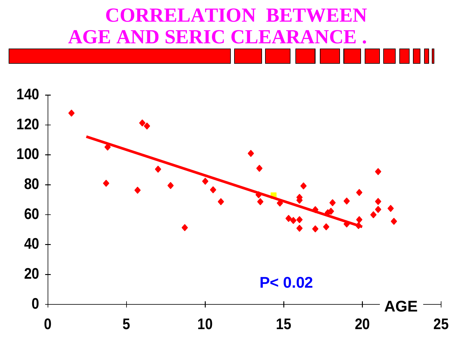#### **CORRELATION BETWEEN AGE AND SERIC CLEARANCE .**

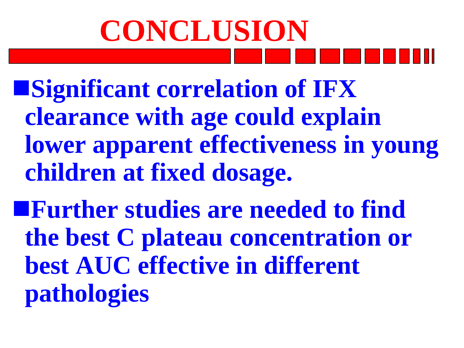## **CONCLUSION**

**Significant correlation of IFX clearance with age could explain lower apparent effectiveness in young children at fixed dosage.**

**Further studies are needed to find the best C plateau concentration or best AUC effective in different pathologies**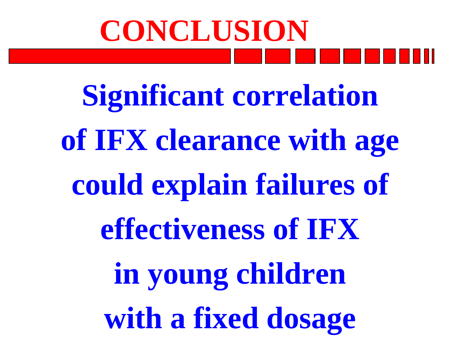## **CONCLUSION**

**Significant correlation of IFX clearance with age could explain failures of effectiveness of IFX in young children with a fixed dosage**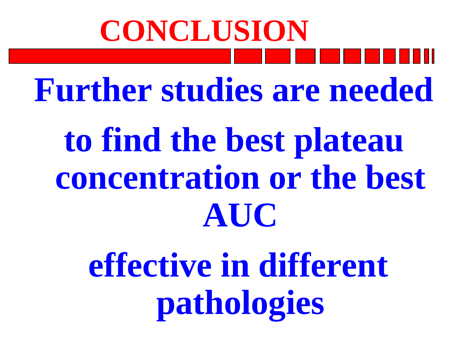### **Further studies are needed to find the best plateau concentration or the best AUC CONCLUSION**

**effective in different pathologies**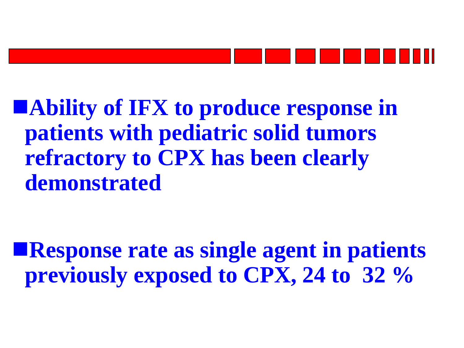

**Ability of IFX to produce response in patients with pediatric solid tumors refractory to CPX has been clearly demonstrated**

**Response rate as single agent in patients previously exposed to CPX, 24 to 32 %**